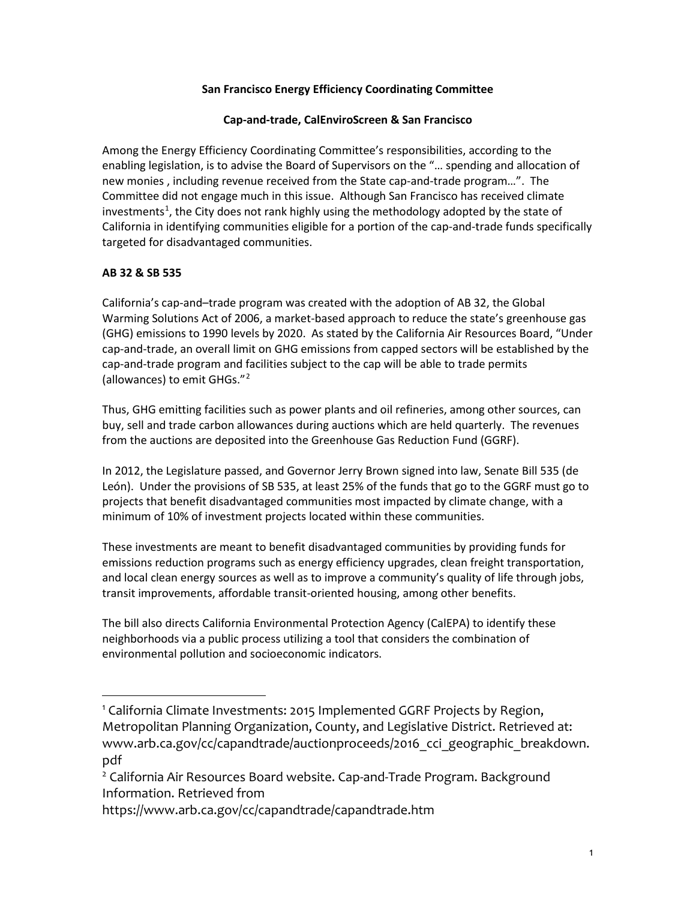# **San Francisco Energy Efficiency Coordinating Committee**

# **Cap-and-trade, CalEnviroScreen & San Francisco**

Among the Energy Efficiency Coordinating Committee's responsibilities, according to the enabling legislation, is to advise the Board of Supervisors on the "… spending and allocation of new monies , including revenue received from the State cap-and-trade program…". The Committee did not engage much in this issue. Although San Francisco has received climate investments<sup>[1](#page-0-0)</sup>, the City does not rank highly using the methodology adopted by the state of California in identifying communities eligible for a portion of the cap-and-trade funds specifically targeted for disadvantaged communities.

# **AB 32 & SB 535**

California's cap-and–trade program was created with the adoption of AB 32, the Global Warming Solutions Act of 2006, a market-based approach to reduce the state's greenhouse gas (GHG) emissions to 1990 levels by 2020. As stated by the California Air Resources Board, "Under cap-and-trade, an overall limit on GHG emissions from capped sectors will be established by the cap-and-trade program and facilities subject to the cap will be able to trade permits (allowances) to emit GHGs."<sup>[2](#page-0-1)</sup>

Thus, GHG emitting facilities such as power plants and oil refineries, among other sources, can buy, sell and trade carbon allowances during auctions which are held quarterly. The revenues from the auctions are deposited into the Greenhouse Gas Reduction Fund (GGRF).

In 2012, the Legislature passed, and Governor Jerry Brown signed into law, Senate Bill 535 (de León). Under the provisions of SB 535, at least 25% of the funds that go to the GGRF must go to projects that benefit disadvantaged communities most impacted by climate change, with a minimum of 10% of investment projects located within these communities.

These investments are meant to benefit disadvantaged communities by providing funds for emissions reduction programs such as energy efficiency upgrades, clean freight transportation, and local clean energy sources as well as to improve a community's quality of life through jobs, transit improvements, affordable transit-oriented housing, among other benefits.

The bill also directs California Environmental Protection Agency (CalEPA) to identify these neighborhoods via a public process utilizing a tool that considers the combination of environmental pollution and socioeconomic indicators.

<span id="page-0-0"></span><sup>1</sup> California Climate Investments: 2015 Implemented GGRF Projects by Region, Metropolitan Planning Organization, County, and Legislative District. Retrieved at: www.arb.ca.gov/cc/capandtrade/auctionproceeds/2016 cci geographic breakdown. pdf

<span id="page-0-1"></span><sup>&</sup>lt;sup>2</sup> California Air Resources Board website. Cap-and-Trade Program. Background Information. Retrieved from

https://www.arb.ca.gov/cc/capandtrade/capandtrade.htm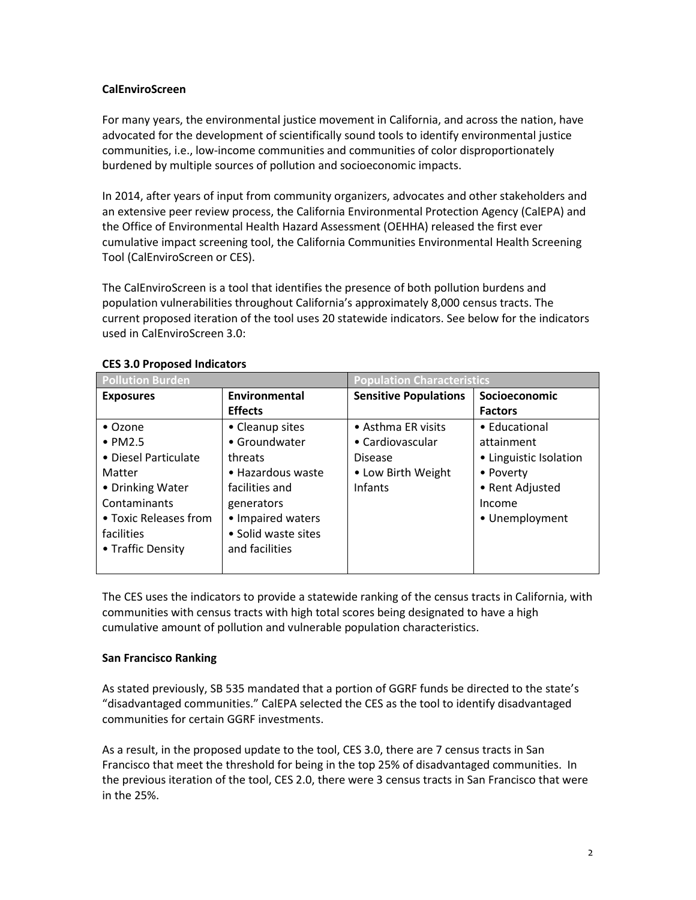# **CalEnviroScreen**

For many years, the environmental justice movement in California, and across the nation, have advocated for the development of scientifically sound tools to identify environmental justice communities, i.e., low-income communities and communities of color disproportionately burdened by multiple sources of pollution and socioeconomic impacts.

In 2014, after years of input from community organizers, advocates and other stakeholders and an extensive peer review process, the California Environmental Protection Agency (CalEPA) and the Office of Environmental Health Hazard Assessment (OEHHA) released the first ever cumulative impact screening tool, the California Communities Environmental Health Screening Tool (CalEnviroScreen or CES).

The CalEnviroScreen is a tool that identifies the presence of both pollution burdens and population vulnerabilities throughout California's approximately 8,000 census tracts. The current proposed iteration of the tool uses 20 statewide indicators. See below for the indicators used in CalEnviroScreen 3.0:

| <b>Pollution Burden</b> |                     | <b>Population Characteristics</b> |                        |
|-------------------------|---------------------|-----------------------------------|------------------------|
| <b>Exposures</b>        | Environmental       | <b>Sensitive Populations</b>      | Socioeconomic          |
|                         | <b>Effects</b>      |                                   | <b>Factors</b>         |
| • Ozone                 | • Cleanup sites     | • Asthma ER visits                | • Educational          |
| $\bullet$ PM2.5         | • Groundwater       | • Cardiovascular                  | attainment             |
| • Diesel Particulate    | threats             | <b>Disease</b>                    | • Linguistic Isolation |
| Matter                  | • Hazardous waste   | • Low Birth Weight                | • Poverty              |
| • Drinking Water        | facilities and      | Infants                           | • Rent Adjusted        |
| Contaminants            | generators          |                                   | Income                 |
| • Toxic Releases from   | • Impaired waters   |                                   | • Unemployment         |
| facilities              | • Solid waste sites |                                   |                        |
| • Traffic Density       | and facilities      |                                   |                        |
|                         |                     |                                   |                        |

### **CES 3.0 Proposed Indicators**

The CES uses the indicators to provide a statewide ranking of the census tracts in California, with communities with census tracts with high total scores being designated to have a high cumulative amount of pollution and vulnerable population characteristics.

### **San Francisco Ranking**

As stated previously, SB 535 mandated that a portion of GGRF funds be directed to the state's "disadvantaged communities." CalEPA selected the CES as the tool to identify disadvantaged communities for certain GGRF investments.

As a result, in the proposed update to the tool, CES 3.0, there are 7 census tracts in San Francisco that meet the threshold for being in the top 25% of disadvantaged communities. In the previous iteration of the tool, CES 2.0, there were 3 census tracts in San Francisco that were in the 25%.